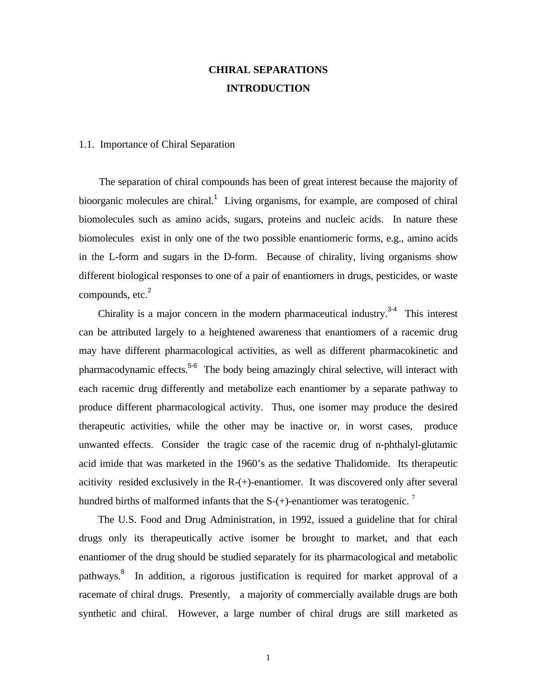## **CHIRAL SEPARATIONS INTRODUCTION**

## 1.1. Importance of Chiral Separation

 The separation of chiral compounds has been of great interest because the majority of bioorganic molecules are chiral.<sup>1</sup> Living organisms, for example, are composed of chiral biomolecules such as amino acids, sugars, proteins and nucleic acids. In nature these biomolecules exist in only one of the two possible enantiomeric forms, e.g., amino acids in the L-form and sugars in the D-form. Because of chirality, living organisms show different biological responses to one of a pair of enantiomers in drugs, pesticides, or waste compounds,  $etc.<sup>2</sup>$ 

Chirality is a major concern in the modern pharmaceutical industry. $3-4$  This interest can be attributed largely to a heightened awareness that enantiomers of a racemic drug may have different pharmacological activities, as well as different pharmacokinetic and pharmacodynamic effects.<sup>5-6</sup> The body being amazingly chiral selective, will interact with each racemic drug differently and metabolize each enantiomer by a separate pathway to produce different pharmacological activity. Thus, one isomer may produce the desired therapeutic activities, while the other may be inactive or, in worst cases, produce unwanted effects. Consider the tragic case of the racemic drug of n-phthalyl-glutamic acid imide that was marketed in the 1960's as the sedative Thalidomide. Its therapeutic acitivity resided exclusively in the R-(+)-enantiomer. It was discovered only after several hundred births of malformed infants that the  $S-(+)$ -enantiomer was teratogenic.

 The U.S. Food and Drug Administration, in 1992, issued a guideline that for chiral drugs only its therapeutically active isomer be brought to market, and that each enantiomer of the drug should be studied separately for its pharmacological and metabolic pathways.<sup>8</sup> In addition, a rigorous justification is required for market approval of a racemate of chiral drugs. Presently, a majority of commercially available drugs are both synthetic and chiral. However, a large number of chiral drugs are still marketed as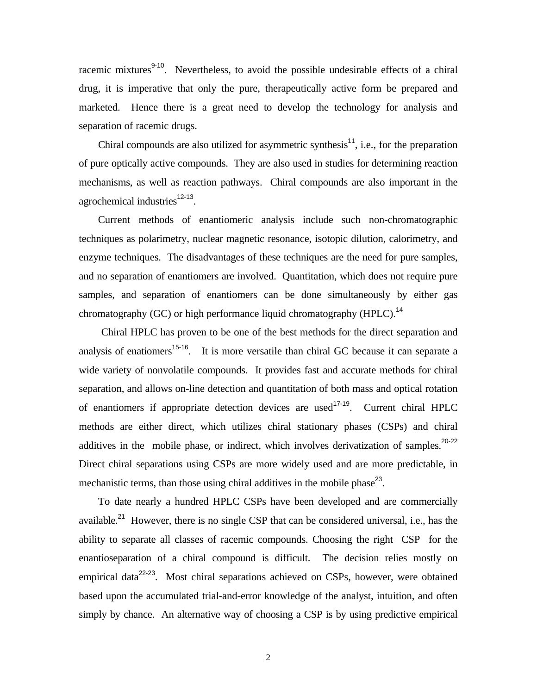racemic mixtures<sup>9-10</sup>. Nevertheless, to avoid the possible undesirable effects of a chiral drug, it is imperative that only the pure, therapeutically active form be prepared and marketed. Hence there is a great need to develop the technology for analysis and separation of racemic drugs.

Chiral compounds are also utilized for asymmetric synthesis<sup>11</sup>, i.e., for the preparation of pure optically active compounds. They are also used in studies for determining reaction mechanisms, as well as reaction pathways. Chiral compounds are also important in the agrochemical industries<sup>12-13</sup>.

 Current methods of enantiomeric analysis include such non-chromatographic techniques as polarimetry, nuclear magnetic resonance, isotopic dilution, calorimetry, and enzyme techniques. The disadvantages of these techniques are the need for pure samples, and no separation of enantiomers are involved. Quantitation, which does not require pure samples, and separation of enantiomers can be done simultaneously by either gas chromatography (GC) or high performance liquid chromatography (HPLC).<sup>14</sup>

 Chiral HPLC has proven to be one of the best methods for the direct separation and analysis of enatiomers<sup>15-16</sup>. It is more versatile than chiral GC because it can separate a wide variety of nonvolatile compounds. It provides fast and accurate methods for chiral separation, and allows on-line detection and quantitation of both mass and optical rotation of enantiomers if appropriate detection devices are used<sup>17-19</sup>. Current chiral HPLC methods are either direct, which utilizes chiral stationary phases (CSPs) and chiral additives in the mobile phase, or indirect, which involves derivatization of samples.<sup>20-22</sup> Direct chiral separations using CSPs are more widely used and are more predictable, in mechanistic terms, than those using chiral additives in the mobile phase<sup>23</sup>.

 To date nearly a hundred HPLC CSPs have been developed and are commercially available.<sup>21</sup> However, there is no single CSP that can be considered universal, i.e., has the ability to separate all classes of racemic compounds. Choosing the right CSP for the enantioseparation of a chiral compound is difficult. The decision relies mostly on empirical data $22-23$ . Most chiral separations achieved on CSPs, however, were obtained based upon the accumulated trial-and-error knowledge of the analyst, intuition, and often simply by chance. An alternative way of choosing a CSP is by using predictive empirical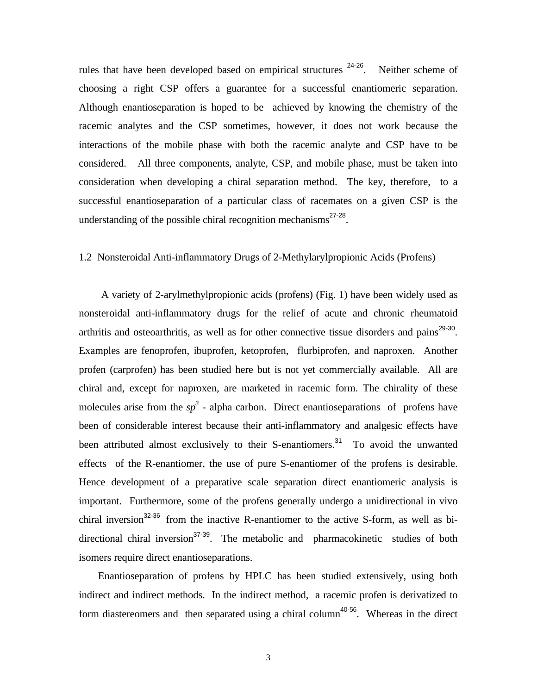rules that have been developed based on empirical structures  $24-26$ . Neither scheme of choosing a right CSP offers a guarantee for a successful enantiomeric separation. Although enantioseparation is hoped to be achieved by knowing the chemistry of the racemic analytes and the CSP sometimes, however, it does not work because the interactions of the mobile phase with both the racemic analyte and CSP have to be considered. All three components, analyte, CSP, and mobile phase, must be taken into consideration when developing a chiral separation method. The key, therefore, to a successful enantioseparation of a particular class of racemates on a given CSP is the understanding of the possible chiral recognition mechanisms $^{27-28}$ .

## 1.2 Nonsteroidal Anti-inflammatory Drugs of 2-Methylarylpropionic Acids (Profens)

 A variety of 2-arylmethylpropionic acids (profens) (Fig. 1) have been widely used as nonsteroidal anti-inflammatory drugs for the relief of acute and chronic rheumatoid arthritis and osteoarthritis, as well as for other connective tissue disorders and pains<sup>29-30</sup>. Examples are fenoprofen, ibuprofen, ketoprofen, flurbiprofen, and naproxen. Another profen (carprofen) has been studied here but is not yet commercially available. All are chiral and, except for naproxen, are marketed in racemic form. The chirality of these molecules arise from the  $sp^3$  - alpha carbon. Direct enantioseparations of profens have been of considerable interest because their anti-inflammatory and analgesic effects have been attributed almost exclusively to their S-enantiomers.<sup>31</sup> To avoid the unwanted effects of the R-enantiomer, the use of pure S-enantiomer of the profens is desirable. Hence development of a preparative scale separation direct enantiomeric analysis is important. Furthermore, some of the profens generally undergo a unidirectional in vivo chiral inversion<sup>32-36</sup> from the inactive R-enantiomer to the active S-form, as well as bidirectional chiral inversion<sup>37-39</sup>. The metabolic and pharmacokinetic studies of both isomers require direct enantioseparations.

 Enantioseparation of profens by HPLC has been studied extensively, using both indirect and indirect methods. In the indirect method, a racemic profen is derivatized to form diastereomers and then separated using a chiral column<sup>40-56</sup>. Whereas in the direct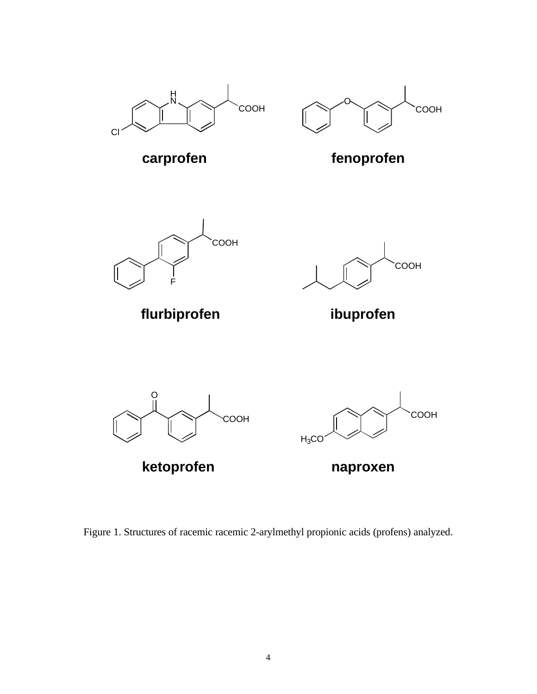



carprofen fenoprofen



**flurbiprofen ibuprofen**





Figure 1. Structures of racemic racemic 2-arylmethyl propionic acids (profens) analyzed.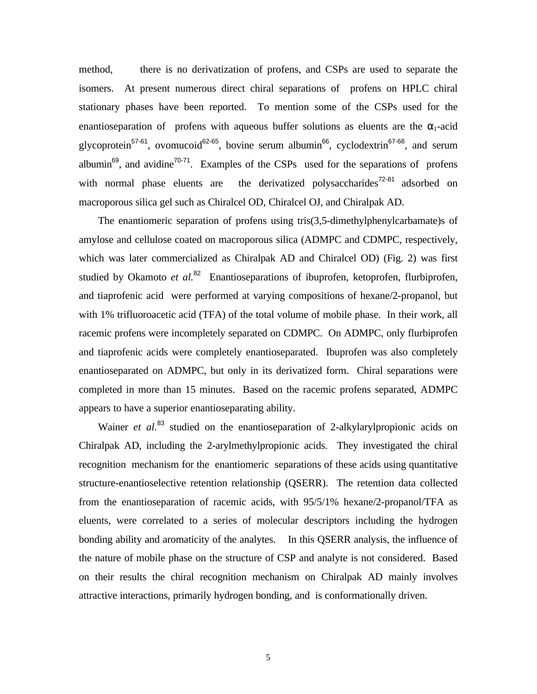method, there is no derivatization of profens, and CSPs are used to separate the isomers. At present numerous direct chiral separations of profens on HPLC chiral stationary phases have been reported. To mention some of the CSPs used for the enantioseparation of profens with aqueous buffer solutions as eluents are the  $\alpha_1$ -acid glycoprotein<sup>57-61</sup>, ovomucoid<sup>62-65</sup>, bovine serum albumin<sup>66</sup>, cyclodextrin<sup>67-68</sup>, and serum albumin<sup>69</sup>, and avidine<sup>70-71</sup>. Examples of the CSPs used for the separations of profens with normal phase eluents are the derivatized polysaccharides<sup>72-81</sup> adsorbed on macroporous silica gel such as Chiralcel OD, Chiralcel OJ, and Chiralpak AD.

 The enantiomeric separation of profens using tris(3,5-dimethylphenylcarbamate)s of amylose and cellulose coated on macroporous silica (ADMPC and CDMPC, respectively, which was later commercialized as Chiralpak AD and Chiralcel OD) (Fig. 2) was first studied by Okamoto *et al.*<sup>82</sup> Enantioseparations of ibuprofen, ketoprofen, flurbiprofen, and tiaprofenic acid were performed at varying compositions of hexane/2-propanol, but with 1% trifluoroacetic acid (TFA) of the total volume of mobile phase. In their work, all racemic profens were incompletely separated on CDMPC. On ADMPC, only flurbiprofen and tiaprofenic acids were completely enantioseparated. Ibuprofen was also completely enantioseparated on ADMPC, but only in its derivatized form. Chiral separations were completed in more than 15 minutes. Based on the racemic profens separated, ADMPC appears to have a superior enantioseparating ability.

Wainer *et al.*<sup>83</sup> studied on the enantioseparation of 2-alkylarylpropionic acids on Chiralpak AD, including the 2-arylmethylpropionic acids. They investigated the chiral recognition mechanism for the enantiomeric separations of these acids using quantitative structure-enantioselective retention relationship (QSERR). The retention data collected from the enantioseparation of racemic acids, with 95/5/1% hexane/2-propanol/TFA as eluents, were correlated to a series of molecular descriptors including the hydrogen bonding ability and aromaticity of the analytes. In this QSERR analysis, the influence of the nature of mobile phase on the structure of CSP and analyte is not considered. Based on their results the chiral recognition mechanism on Chiralpak AD mainly involves attractive interactions, primarily hydrogen bonding, and is conformationally driven.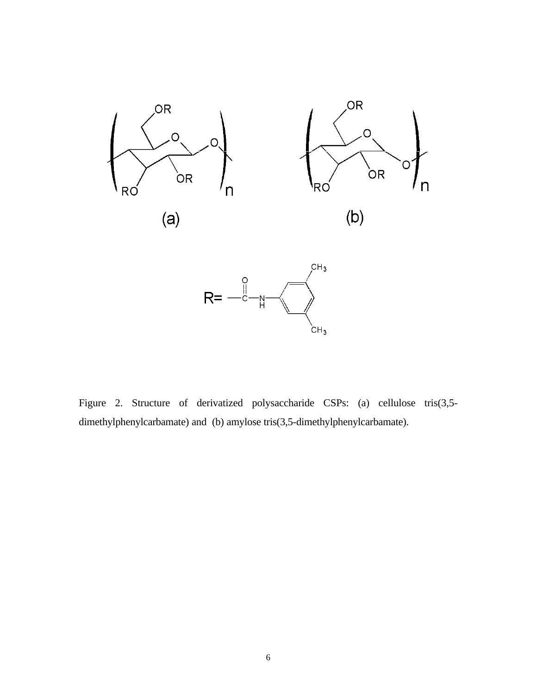



Figure 2. Structure of derivatized polysaccharide CSPs: (a) cellulose tris(3,5 dimethylphenylcarbamate) and (b) amylose tris(3,5-dimethylphenylcarbamate).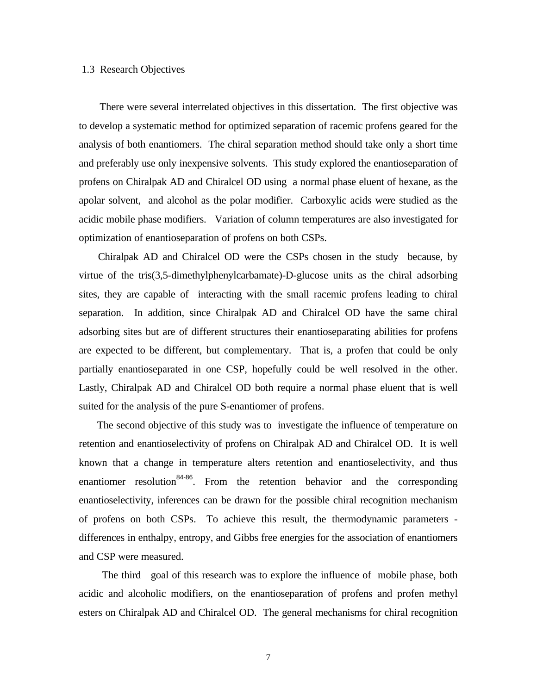## 1.3 Research Objectives

 There were several interrelated objectives in this dissertation. The first objective was to develop a systematic method for optimized separation of racemic profens geared for the analysis of both enantiomers. The chiral separation method should take only a short time and preferably use only inexpensive solvents. This study explored the enantioseparation of profens on Chiralpak AD and Chiralcel OD using a normal phase eluent of hexane, as the apolar solvent, and alcohol as the polar modifier. Carboxylic acids were studied as the acidic mobile phase modifiers. Variation of column temperatures are also investigated for optimization of enantioseparation of profens on both CSPs.

 Chiralpak AD and Chiralcel OD were the CSPs chosen in the study because, by virtue of the tris(3,5-dimethylphenylcarbamate)-D-glucose units as the chiral adsorbing sites, they are capable of interacting with the small racemic profens leading to chiral separation. In addition, since Chiralpak AD and Chiralcel OD have the same chiral adsorbing sites but are of different structures their enantioseparating abilities for profens are expected to be different, but complementary. That is, a profen that could be only partially enantioseparated in one CSP, hopefully could be well resolved in the other. Lastly, Chiralpak AD and Chiralcel OD both require a normal phase eluent that is well suited for the analysis of the pure S-enantiomer of profens.

 The second objective of this study was to investigate the influence of temperature on retention and enantioselectivity of profens on Chiralpak AD and Chiralcel OD. It is well known that a change in temperature alters retention and enantioselectivity, and thus enantiomer resolution<sup>84-86</sup>. From the retention behavior and the corresponding enantioselectivity, inferences can be drawn for the possible chiral recognition mechanism of profens on both CSPs. To achieve this result, the thermodynamic parameters differences in enthalpy, entropy, and Gibbs free energies for the association of enantiomers and CSP were measured.

 The third goal of this research was to explore the influence of mobile phase, both acidic and alcoholic modifiers, on the enantioseparation of profens and profen methyl esters on Chiralpak AD and Chiralcel OD. The general mechanisms for chiral recognition